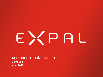# EXPAL

# Munitions Executive Summit

Steve Dart April 2015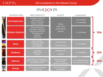# $MAPX$ A $M$

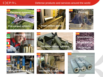# EXPAL

### Defense products and services around the world

















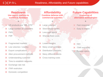# EXPAL

# Readiness, Affordability and Future capabilities

### **Readiness Use export markets to sustain in downturn**

**+**

- US products are "MIL-STD"
- X Large number of customers

**-**

- X FMS
- FMF
- X Fragmented markets
- Low volumes / country  $\times$
- Export complications  $\times$
- Alien procurement methods X
- Understanding customer
- Time to establish networks  $\times$
- Exchange rate risk X
- ITAR restriction  $\times$
- X Domestic competition

**Affordability Combine defense with commercial activities**

**+**

- X Large volumes
- Slow steady cycles  $\times$
- X Less rigid specs
- X Sharing fixed costs

**-**

- X Lower margins
- Many small contracts  $\times$
- Distribution channels  $\times$
- Many different clients  $\times$
- **X** Cross training costs

### **Future Capabilities Onshoring of alternative technologies**

**+**

**-**

- X Fast response
- X Easy to import

X NIH

- X ITAR restraints
- **X** Foreign specs